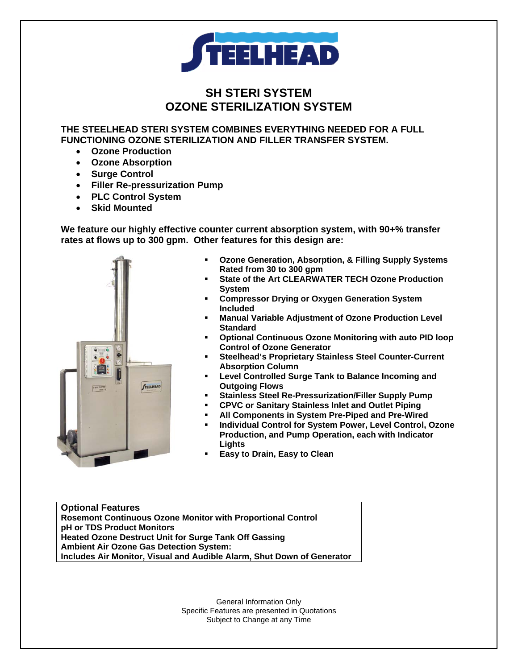

# **SH STERI SYSTEM OZONE STERILIZATION SYSTEM**

**THE STEELHEAD STERI SYSTEM COMBINES EVERYTHING NEEDED FOR A FULL FUNCTIONING OZONE STERILIZATION AND FILLER TRANSFER SYSTEM.** 

- **Ozone Production**
- **Ozone Absorption**
- **Surge Control**
- **Filler Re-pressurization Pump**
- **PLC Control System**
- **Skid Mounted**

**We feature our highly effective counter current absorption system, with 90+% transfer rates at flows up to 300 gpm. Other features for this design are:** 



- **Ozone Generation, Absorption, & Filling Supply Systems Rated from 30 to 300 gpm**
- **State of the Art CLEARWATER TECH Ozone Production System**
- **Compressor Drying or Oxygen Generation System Included**
- **Manual Variable Adjustment of Ozone Production Level Standard**
- **Optional Continuous Ozone Monitoring with auto PID loop Control of Ozone Generator**
- **Steelhead's Proprietary Stainless Steel Counter-Current Absorption Column**
- **Level Controlled Surge Tank to Balance Incoming and Outgoing Flows**
- **Stainless Steel Re-Pressurization/Filler Supply Pump**
- **CPVC or Sanitary Stainless Inlet and Outlet Piping**
- **All Components in System Pre-Piped and Pre-Wired**
- **Individual Control for System Power, Level Control, Ozone Production, and Pump Operation, each with Indicator Lights**
- **Easy to Drain, Easy to Clean**

**Optional Features Rosemont Continuous Ozone Monitor with Proportional Control pH or TDS Product Monitors Heated Ozone Destruct Unit for Surge Tank Off Gassing Ambient Air Ozone Gas Detection System: Includes Air Monitor, Visual and Audible Alarm, Shut Down of Generator**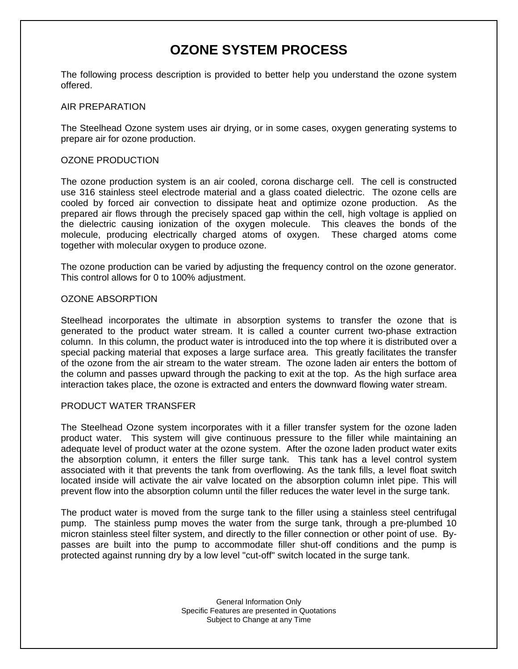# **OZONE SYSTEM PROCESS**

The following process description is provided to better help you understand the ozone system offered.

## AIR PREPARATION

The Steelhead Ozone system uses air drying, or in some cases, oxygen generating systems to prepare air for ozone production.

## OZONE PRODUCTION

The ozone production system is an air cooled, corona discharge cell. The cell is constructed use 316 stainless steel electrode material and a glass coated dielectric. The ozone cells are cooled by forced air convection to dissipate heat and optimize ozone production. As the prepared air flows through the precisely spaced gap within the cell, high voltage is applied on the dielectric causing ionization of the oxygen molecule. This cleaves the bonds of the molecule, producing electrically charged atoms of oxygen. These charged atoms come together with molecular oxygen to produce ozone.

The ozone production can be varied by adjusting the frequency control on the ozone generator. This control allows for 0 to 100% adjustment.

#### OZONE ABSORPTION

Steelhead incorporates the ultimate in absorption systems to transfer the ozone that is generated to the product water stream. It is called a counter current two-phase extraction column. In this column, the product water is introduced into the top where it is distributed over a special packing material that exposes a large surface area. This greatly facilitates the transfer of the ozone from the air stream to the water stream. The ozone laden air enters the bottom of the column and passes upward through the packing to exit at the top. As the high surface area interaction takes place, the ozone is extracted and enters the downward flowing water stream.

#### PRODUCT WATER TRANSFER

The Steelhead Ozone system incorporates with it a filler transfer system for the ozone laden product water. This system will give continuous pressure to the filler while maintaining an adequate level of product water at the ozone system. After the ozone laden product water exits the absorption column, it enters the filler surge tank. This tank has a level control system associated with it that prevents the tank from overflowing. As the tank fills, a level float switch located inside will activate the air valve located on the absorption column inlet pipe. This will prevent flow into the absorption column until the filler reduces the water level in the surge tank.

The product water is moved from the surge tank to the filler using a stainless steel centrifugal pump. The stainless pump moves the water from the surge tank, through a pre-plumbed 10 micron stainless steel filter system, and directly to the filler connection or other point of use. Bypasses are built into the pump to accommodate filler shut-off conditions and the pump is protected against running dry by a low level "cut-off" switch located in the surge tank.